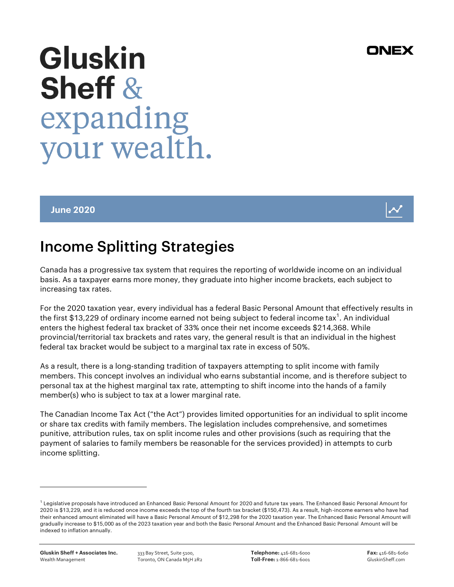## Canada has a progressive tax system that requires the reporting of worldwide income on an individual basis. As a taxpayer earns more money, they graduate into higher income brackets, each subject to increasing tax rates.

For the 2020 taxation year, every individual has a federal Basic Personal Amount that effectively results in the first \$13,229 of ordinary income earned not being subject to federal income tax $^{\rm 1}$ . An individual enters the highest federal tax bracket of 33% once their net income exceeds \$214,368. While provincial/territorial tax brackets and rates vary, the general result is that an individual in the highest federal tax bracket would be subject to a marginal tax rate in excess of 50%.

As a result, there is a long-standing tradition of taxpayers attempting to split income with family members. This concept involves an individual who earns substantial income, and is therefore subject to personal tax at the highest marginal tax rate, attempting to shift income into the hands of a family member(s) who is subject to tax at a lower marginal rate.

The Canadian Income Tax Act ("the Act") provides limited opportunities for an individual to split income or share tax credits with family members. The legislation includes comprehensive, and sometimes punitive, attribution rules, tax on split income rules and other provisions (such as requiring that the payment of salaries to family members be reasonable for the services provided) in attempts to curb income splitting.

l

# **Gluskin Sheff &** expanding your wealth.

Income Splitting Strategies

#### June 2020



### ONEX

 $^1$  Legislative proposals have introduced an Enhanced Basic Personal Amount for 2020 and future tax years. The Enhanced Basic Personal Amount for 2020 is \$13,229, and it is reduced once income exceeds the top of the fourth tax bracket (\$150,473). As a result, high-income earners who have had their enhanced amount eliminated will have a Basic Personal Amount of \$12,298 for the 2020 taxation year. The Enhanced Basic Personal Amount will gradually increase to \$15,000 as of the 2023 taxation year and both the Basic Personal Amount and the Enhanced Basic Personal Amount will be indexed to inflation annually.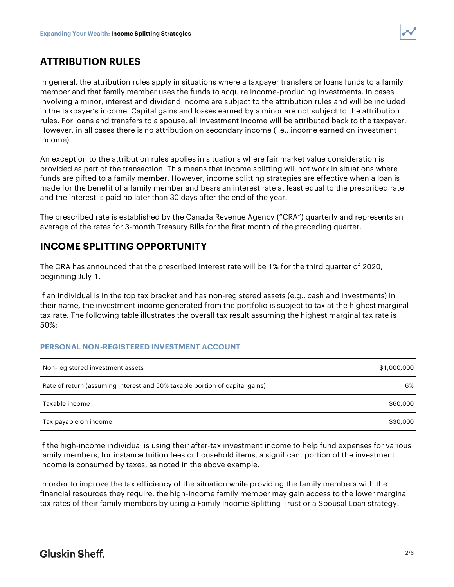

#### ATTRIBUTION RULES

In general, the attribution rules apply in situations where a taxpayer transfers or loans funds to a family member and that family member uses the funds to acquire income-producing investments. In cases involving a minor, interest and dividend income are subject to the attribution rules and will be included in the taxpayer's income. Capital gains and losses earned by a minor are not subject to the attribution rules. For loans and transfers to a spouse, all investment income will be attributed back to the taxpayer. However, in all cases there is no attribution on secondary income (i.e., income earned on investment income).

An exception to the attribution rules applies in situations where fair market value consideration is provided as part of the transaction. This means that income splitting will not work in situations where funds are gifted to a family member. However, income splitting strategies are effective when a loan is made for the benefit of a family member and bears an interest rate at least equal to the prescribed rate and the interest is paid no later than 30 days after the end of the year.

The prescribed rate is established by the Canada Revenue Agency ("CRA") quarterly and represents an average of the rates for 3-month Treasury Bills for the first month of the preceding quarter.

#### INCOME SPLITTING OPPORTUNITY

The CRA has announced that the prescribed interest rate will be 1% for the third quarter of 2020, beginning July 1.

If an individual is in the top tax bracket and has non-registered assets (e.g., cash and investments) in their name, the investment income generated from the portfolio is subject to tax at the highest marginal tax rate. The following table illustrates the overall tax result assuming the highest marginal tax rate is 50%:

#### PERSONAL NON-REGISTERED INVESTMENT ACCOUNT

| Non-registered investment assets                                            | \$1,000,000 |
|-----------------------------------------------------------------------------|-------------|
| Rate of return (assuming interest and 50% taxable portion of capital gains) | 6%          |
| Taxable income                                                              | \$60,000    |
| Tax payable on income                                                       | \$30,000    |

If the high-income individual is using their after-tax investment income to help fund expenses for various family members, for instance tuition fees or household items, a significant portion of the investment income is consumed by taxes, as noted in the above example.

In order to improve the tax efficiency of the situation while providing the family members with the financial resources they require, the high-income family member may gain access to the lower marginal tax rates of their family members by using a Family Income Splitting Trust or a Spousal Loan strategy.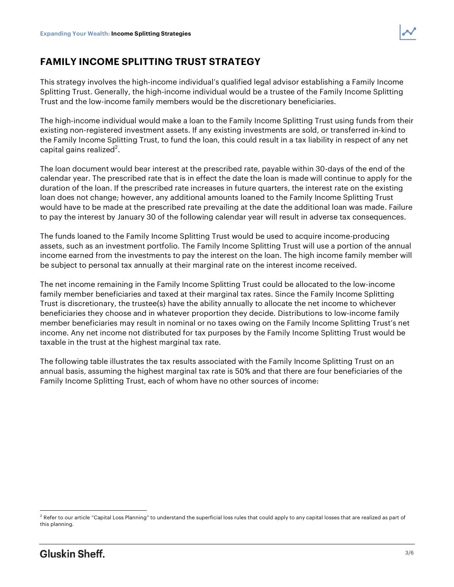

#### FAMILY INCOME SPLITTING TRUST STRATEGY

This strategy involves the high-income individual's qualified legal advisor establishing a Family Income Splitting Trust. Generally, the high-income individual would be a trustee of the Family Income Splitting Trust and the low-income family members would be the discretionary beneficiaries.

The high-income individual would make a loan to the Family Income Splitting Trust using funds from their existing non-registered investment assets. If any existing investments are sold, or transferred in-kind to the Family Income Splitting Trust, to fund the loan, this could result in a tax liability in respect of any net capital gains realized $^2$ .

The loan document would bear interest at the prescribed rate, payable within 30-days of the end of the calendar year. The prescribed rate that is in effect the date the loan is made will continue to apply for the duration of the loan. If the prescribed rate increases in future quarters, the interest rate on the existing loan does not change; however, any additional amounts loaned to the Family Income Splitting Trust would have to be made at the prescribed rate prevailing at the date the additional loan was made. Failure to pay the interest by January 30 of the following calendar year will result in adverse tax consequences.

The funds loaned to the Family Income Splitting Trust would be used to acquire income-producing assets, such as an investment portfolio. The Family Income Splitting Trust will use a portion of the annual income earned from the investments to pay the interest on the loan. The high income family member will be subject to personal tax annually at their marginal rate on the interest income received.

The net income remaining in the Family Income Splitting Trust could be allocated to the low-income family member beneficiaries and taxed at their marginal tax rates. Since the Family Income Splitting Trust is discretionary, the trustee(s) have the ability annually to allocate the net income to whichever beneficiaries they choose and in whatever proportion they decide. Distributions to low-income family member beneficiaries may result in nominal or no taxes owing on the Family Income Splitting Trust's net income. Any net income not distributed for tax purposes by the Family Income Splitting Trust would be taxable in the trust at the highest marginal tax rate.

The following table illustrates the tax results associated with the Family Income Splitting Trust on an annual basis, assuming the highest marginal tax rate is 50% and that there are four beneficiaries of the Family Income Splitting Trust, each of whom have no other sources of income:

l

 $2$  Refer to our article "Capital Loss Planning" to understand the superficial loss rules that could apply to any capital losses that are realized as part of this planning.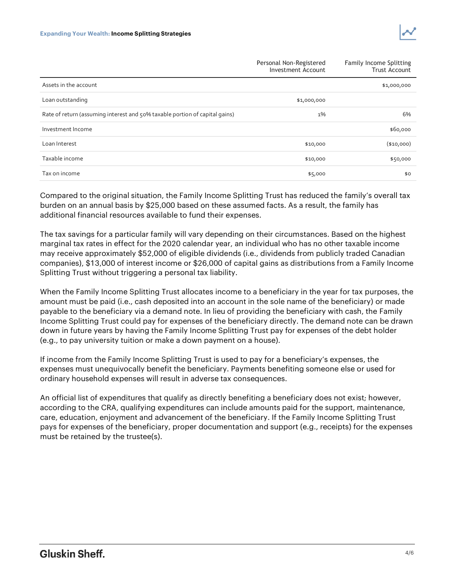

|                                                                             | Personal Non-Registered<br>Investment Account | <b>Family Income Splitting</b><br><b>Trust Account</b> |
|-----------------------------------------------------------------------------|-----------------------------------------------|--------------------------------------------------------|
| Assets in the account                                                       |                                               | \$1,000,000                                            |
| Loan outstanding                                                            | \$1,000,000                                   |                                                        |
| Rate of return (assuming interest and 50% taxable portion of capital gains) | 1%                                            | 6%                                                     |
| Investment Income                                                           |                                               | \$60,000                                               |
| Loan Interest                                                               | \$10,000                                      | $(*10,000)$                                            |
| Taxable income                                                              | \$10,000                                      | \$50,000                                               |
| Tax on income                                                               | \$5,000                                       | \$0                                                    |

Compared to the original situation, the Family Income Splitting Trust has reduced the family's overall tax burden on an annual basis by \$25,000 based on these assumed facts. As a result, the family has additional financial resources available to fund their expenses.

The tax savings for a particular family will vary depending on their circumstances. Based on the highest marginal tax rates in effect for the 2020 calendar year, an individual who has no other taxable income may receive approximately \$52,000 of eligible dividends (i.e., dividends from publicly traded Canadian companies), \$13,000 of interest income or \$26,000 of capital gains as distributions from a Family Income Splitting Trust without triggering a personal tax liability.

When the Family Income Splitting Trust allocates income to a beneficiary in the year for tax purposes, the amount must be paid (i.e., cash deposited into an account in the sole name of the beneficiary) or made payable to the beneficiary via a demand note. In lieu of providing the beneficiary with cash, the Family Income Splitting Trust could pay for expenses of the beneficiary directly. The demand note can be drawn down in future years by having the Family Income Splitting Trust pay for expenses of the debt holder (e.g., to pay university tuition or make a down payment on a house).

If income from the Family Income Splitting Trust is used to pay for a beneficiary's expenses, the expenses must unequivocally benefit the beneficiary. Payments benefiting someone else or used for ordinary household expenses will result in adverse tax consequences.

An official list of expenditures that qualify as directly benefiting a beneficiary does not exist; however, according to the CRA, qualifying expenditures can include amounts paid for the support, maintenance, care, education, enjoyment and advancement of the beneficiary. If the Family Income Splitting Trust pays for expenses of the beneficiary, proper documentation and support (e.g., receipts) for the expenses must be retained by the trustee(s).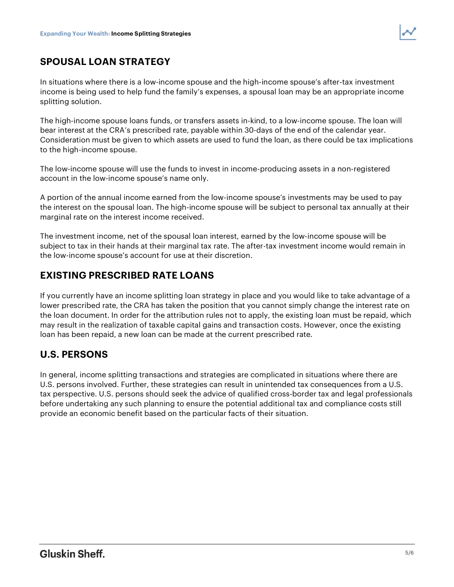

#### SPOUSAL LOAN STRATEGY

In situations where there is a low-income spouse and the high-income spouse's after-tax investment income is being used to help fund the family's expenses, a spousal loan may be an appropriate income splitting solution.

The high-income spouse loans funds, or transfers assets in-kind, to a low-income spouse. The loan will bear interest at the CRA's prescribed rate, payable within 30-days of the end of the calendar year. Consideration must be given to which assets are used to fund the loan, as there could be tax implications to the high-income spouse.

The low-income spouse will use the funds to invest in income-producing assets in a non-registered account in the low-income spouse's name only.

A portion of the annual income earned from the low-income spouse's investments may be used to pay the interest on the spousal loan. The high-income spouse will be subject to personal tax annually at their marginal rate on the interest income received.

The investment income, net of the spousal loan interest, earned by the low-income spouse will be subject to tax in their hands at their marginal tax rate. The after-tax investment income would remain in the low-income spouse's account for use at their discretion.

#### EXISTING PRESCRIBED RATE LOANS

If you currently have an income splitting loan strategy in place and you would like to take advantage of a lower prescribed rate, the CRA has taken the position that you cannot simply change the interest rate on the loan document. In order for the attribution rules not to apply, the existing loan must be repaid, which may result in the realization of taxable capital gains and transaction costs. However, once the existing loan has been repaid, a new loan can be made at the current prescribed rate.

#### U.S. PERSONS

In general, income splitting transactions and strategies are complicated in situations where there are U.S. persons involved. Further, these strategies can result in unintended tax consequences from a U.S. tax perspective. U.S. persons should seek the advice of qualified cross-border tax and legal professionals before undertaking any such planning to ensure the potential additional tax and compliance costs still provide an economic benefit based on the particular facts of their situation.